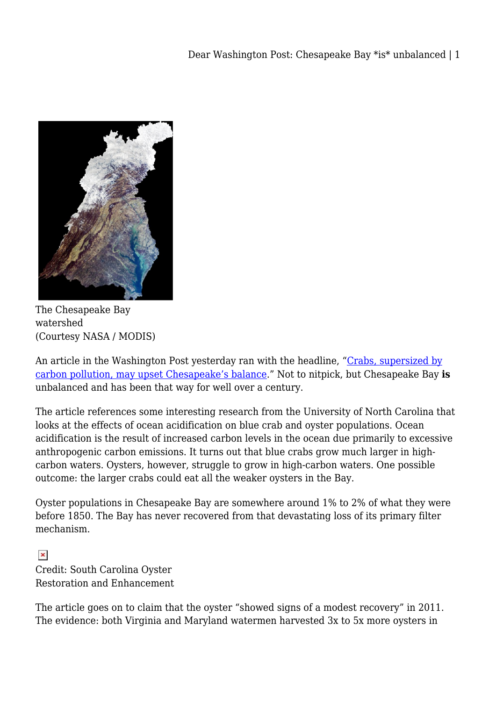

The Chesapeake Bay watershed (Courtesy NASA / MODIS)

An article in the Washington Post yesterday ran with the headline, "[Crabs, supersized by](http://www.washingtonpost.com/national/health-science/2013/04/07/a0c29f48-972f-11e2-b68f-dc5c4b47e519_story.html) [carbon pollution, may upset Chesapeake's balance](http://www.washingtonpost.com/national/health-science/2013/04/07/a0c29f48-972f-11e2-b68f-dc5c4b47e519_story.html)." Not to nitpick, but Chesapeake Bay **is** unbalanced and has been that way for well over a century.

The article references some interesting research from the University of North Carolina that looks at the effects of ocean acidification on blue crab and oyster populations. Ocean acidification is the result of increased carbon levels in the ocean due primarily to excessive anthropogenic carbon emissions. It turns out that blue crabs grow much larger in highcarbon waters. Oysters, however, struggle to grow in high-carbon waters. One possible outcome: the larger crabs could eat all the weaker oysters in the Bay.

Oyster populations in Chesapeake Bay are somewhere around 1% to 2% of what they were before 1850. The Bay has never recovered from that devastating loss of its primary filter mechanism.

 $\pmb{\times}$ Credit: South Carolina Oyster Restoration and Enhancement

The article goes on to claim that the oyster "showed signs of a modest recovery" in 2011. The evidence: both Virginia and Maryland watermen harvested 3x to 5x more oysters in